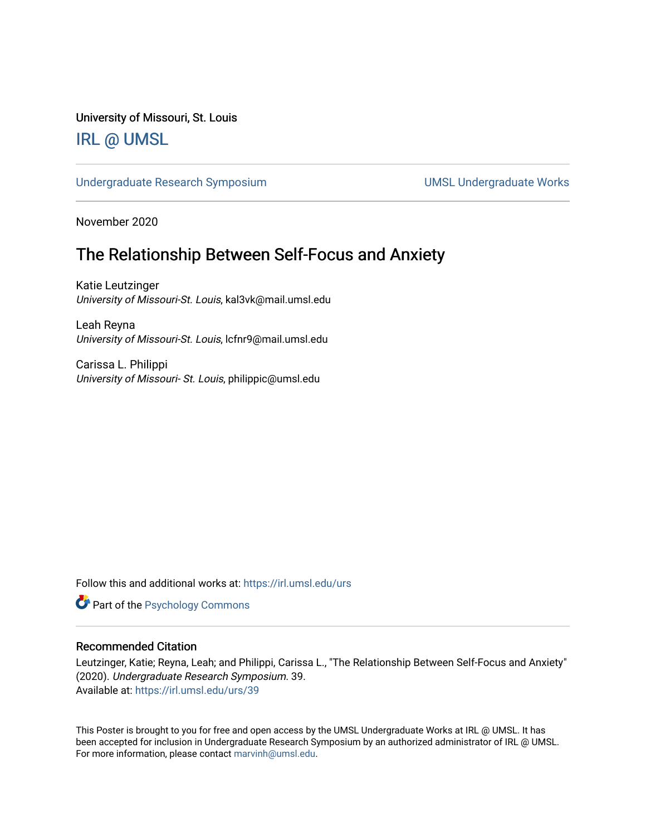University of Missouri, St. Louis

## [IRL @ UMSL](https://irl.umsl.edu/)

[Undergraduate Research Symposium](https://irl.umsl.edu/urs) and a state of UMSL Undergraduate Works

November 2020

## The Relationship Between Self-Focus and Anxiety

Katie Leutzinger University of Missouri-St. Louis, kal3vk@mail.umsl.edu

Leah Reyna University of Missouri-St. Louis, lcfnr9@mail.umsl.edu

Carissa L. Philippi University of Missouri- St. Louis, philippic@umsl.edu

Follow this and additional works at: [https://irl.umsl.edu/urs](https://irl.umsl.edu/urs?utm_source=irl.umsl.edu%2Furs%2F39&utm_medium=PDF&utm_campaign=PDFCoverPages)

**Part of the Psychology Commons** 

## Recommended Citation

Leutzinger, Katie; Reyna, Leah; and Philippi, Carissa L., "The Relationship Between Self-Focus and Anxiety" (2020). Undergraduate Research Symposium. 39. Available at: [https://irl.umsl.edu/urs/39](https://irl.umsl.edu/urs/39?utm_source=irl.umsl.edu%2Furs%2F39&utm_medium=PDF&utm_campaign=PDFCoverPages) 

This Poster is brought to you for free and open access by the UMSL Undergraduate Works at IRL @ UMSL. It has been accepted for inclusion in Undergraduate Research Symposium by an authorized administrator of IRL @ UMSL. For more information, please contact [marvinh@umsl.edu](mailto:marvinh@umsl.edu).